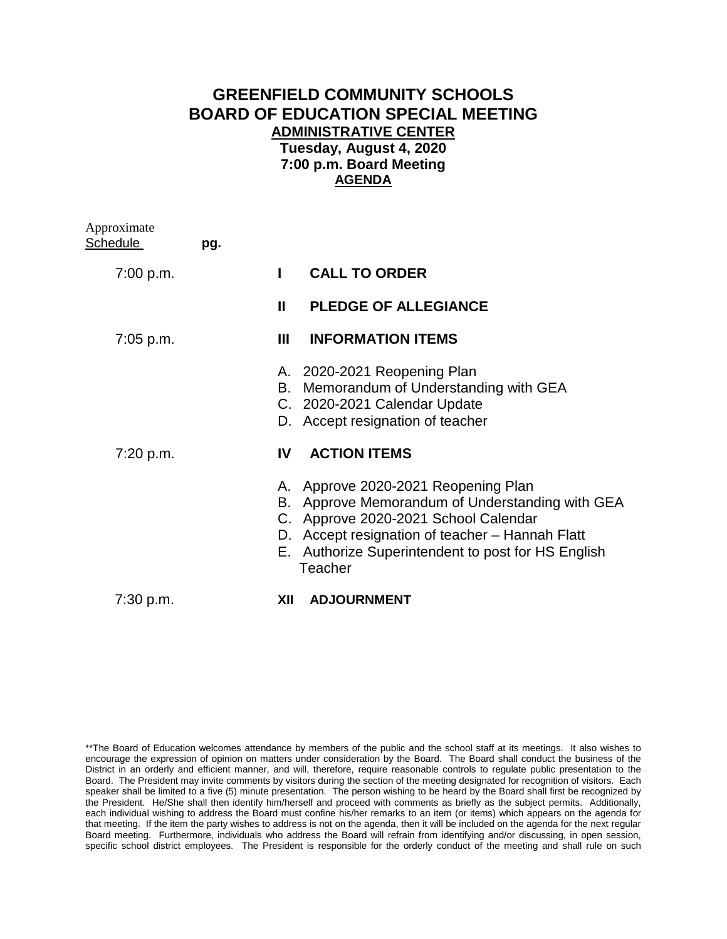## **GREENFIELD COMMUNITY SCHOOLS BOARD OF EDUCATION SPECIAL MEETING ADMINISTRATIVE CENTER Tuesday, August 4, 2020 7:00 p.m. Board Meeting AGENDA**

| Approximate<br><b>Schedule</b> | pg. |                           |                                                                                                                                                                                                                                |
|--------------------------------|-----|---------------------------|--------------------------------------------------------------------------------------------------------------------------------------------------------------------------------------------------------------------------------|
| 7:00 p.m.                      |     |                           | <b>CALL TO ORDER</b>                                                                                                                                                                                                           |
|                                |     | $\mathbf{I}$              | <b>PLEDGE OF ALLEGIANCE</b>                                                                                                                                                                                                    |
| $7:05$ p.m.                    |     | Ш                         | <b>INFORMATION ITEMS</b>                                                                                                                                                                                                       |
|                                |     |                           | A. 2020-2021 Reopening Plan<br>B. Memorandum of Understanding with GEA<br>C. 2020-2021 Calendar Update<br>D. Accept resignation of teacher                                                                                     |
| 7:20 p.m.                      |     | ΙV                        | <b>ACTION ITEMS</b>                                                                                                                                                                                                            |
|                                |     | А.<br>D.<br>Е.<br>Teacher | Approve 2020-2021 Reopening Plan<br>B. Approve Memorandum of Understanding with GEA<br>C. Approve 2020-2021 School Calendar<br>Accept resignation of teacher - Hannah Flatt<br>Authorize Superintendent to post for HS English |
| $7:30$ p.m.                    |     | XII                       | <b>ADJOURNMENT</b>                                                                                                                                                                                                             |

<sup>\*\*</sup>The Board of Education welcomes attendance by members of the public and the school staff at its meetings. It also wishes to encourage the expression of opinion on matters under consideration by the Board. The Board shall conduct the business of the District in an orderly and efficient manner, and will, therefore, require reasonable controls to regulate public presentation to the Board. The President may invite comments by visitors during the section of the meeting designated for recognition of visitors. Each speaker shall be limited to a five (5) minute presentation. The person wishing to be heard by the Board shall first be recognized by the President. He/She shall then identify him/herself and proceed with comments as briefly as the subject permits. Additionally, each individual wishing to address the Board must confine his/her remarks to an item (or items) which appears on the agenda for that meeting. If the item the party wishes to address is not on the agenda, then it will be included on the agenda for the next regular Board meeting. Furthermore, individuals who address the Board will refrain from identifying and/or discussing, in open session, specific school district employees. The President is responsible for the orderly conduct of the meeting and shall rule on such